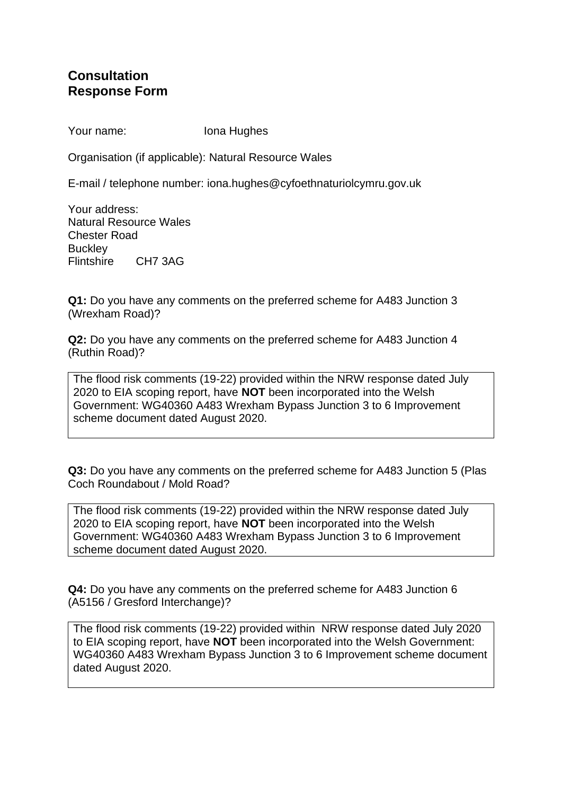## **Consultation Response Form**

Your name: Iona Hughes

Organisation (if applicable): Natural Resource Wales

E-mail / telephone number: iona.hughes@cyfoethnaturiolcymru.gov.uk

Your address: Natural Resource Wales Chester Road **Buckley** Flintshire CH7 3AG

**Q1:** Do you have any comments on the preferred scheme for A483 Junction 3 (Wrexham Road)?

**Q2:** Do you have any comments on the preferred scheme for A483 Junction 4 (Ruthin Road)?

The flood risk comments (19-22) provided within the NRW response dated July 2020 to EIA scoping report, have **NOT** been incorporated into the Welsh Government: WG40360 A483 Wrexham Bypass Junction 3 to 6 Improvement scheme document dated August 2020.

**Q3:** Do you have any comments on the preferred scheme for A483 Junction 5 (Plas Coch Roundabout / Mold Road?

The flood risk comments (19-22) provided within the NRW response dated July 2020 to EIA scoping report, have **NOT** been incorporated into the Welsh Government: WG40360 A483 Wrexham Bypass Junction 3 to 6 Improvement scheme document dated August 2020.

**Q4:** Do you have any comments on the preferred scheme for A483 Junction 6 (A5156 / Gresford Interchange)?

The flood risk comments (19-22) provided within NRW response dated July 2020 to EIA scoping report, have **NOT** been incorporated into the Welsh Government: WG40360 A483 Wrexham Bypass Junction 3 to 6 Improvement scheme document dated August 2020.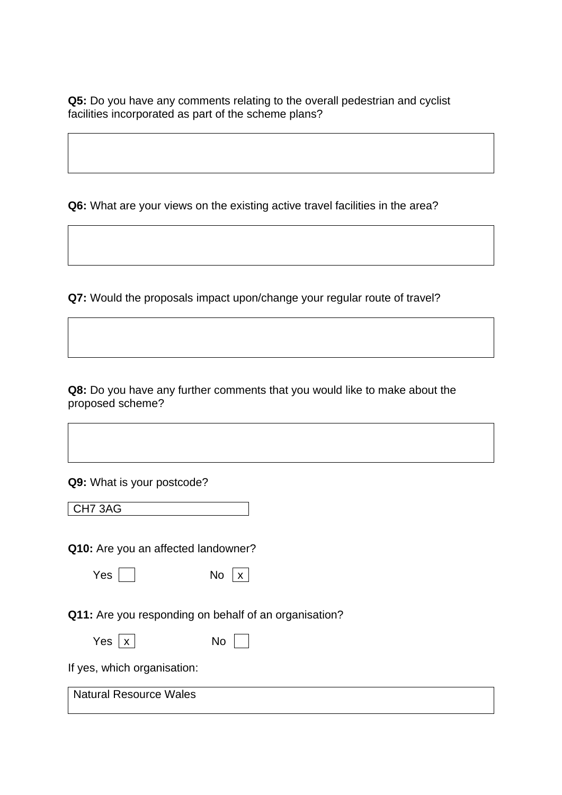**Q5:** Do you have any comments relating to the overall pedestrian and cyclist facilities incorporated as part of the scheme plans?

**Q6:** What are your views on the existing active travel facilities in the area?

**Q7:** Would the proposals impact upon/change your regular route of travel?

**Q8:** Do you have any further comments that you would like to make about the proposed scheme?

**Q9:** What is your postcode?

CH7 3AG

**Q10:** Are you an affected landowner?

| w<br>٧<br>۰, |  |
|--------------|--|
|--------------|--|

| Yes | No | X |
|-----|----|---|
|     |    |   |

**Q11:** Are you responding on behalf of an organisation?

| Yes $x$ |  | No |
|---------|--|----|
|---------|--|----|

If yes, which organisation:

Natural Resource Wales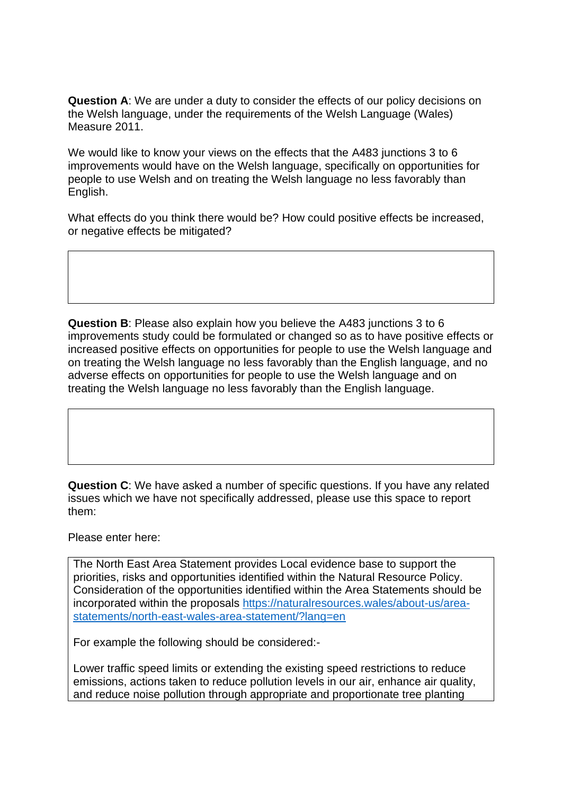**Question A**: We are under a duty to consider the effects of our policy decisions on the Welsh language, under the requirements of the Welsh Language (Wales) Measure 2011.

We would like to know your views on the effects that the A483 junctions 3 to 6 improvements would have on the Welsh language, specifically on opportunities for people to use Welsh and on treating the Welsh language no less favorably than English.

What effects do you think there would be? How could positive effects be increased, or negative effects be mitigated?

**Question B**: Please also explain how you believe the A483 junctions 3 to 6 improvements study could be formulated or changed so as to have positive effects or increased positive effects on opportunities for people to use the Welsh language and on treating the Welsh language no less favorably than the English language, and no adverse effects on opportunities for people to use the Welsh language and on treating the Welsh language no less favorably than the English language.

**Question C**: We have asked a number of specific questions. If you have any related issues which we have not specifically addressed, please use this space to report them:

Please enter here:

The North East Area Statement provides Local evidence base to support the priorities, risks and opportunities identified within the Natural Resource Policy. Consideration of the opportunities identified within the Area Statements should be incorporated within the proposals [https://naturalresources.wales/about-us/area](https://naturalresources.wales/about-us/area-statements/north-east-wales-area-statement/?lang=en)[statements/north-east-wales-area-statement/?lang=en](https://naturalresources.wales/about-us/area-statements/north-east-wales-area-statement/?lang=en)

For example the following should be considered:-

Lower traffic speed limits or extending the existing speed restrictions to reduce emissions, actions taken to reduce pollution levels in our air, enhance air quality, and reduce noise pollution through appropriate and proportionate tree planting